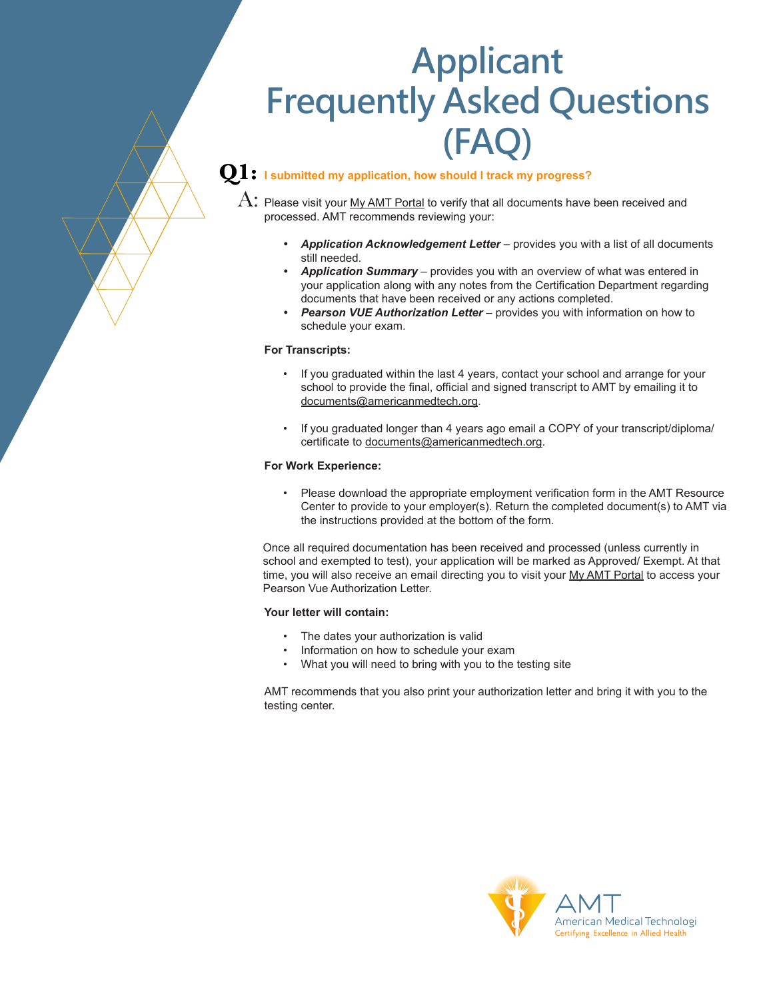# **Applicant Frequently Asked Questions (FAQ)**

# **Q1: I submitted my application, how should I track my progress?**

 $\mathrm{A}\colon$  Please visit your <u>My AMT Portal</u> to verify that all documents have been received and processed. AMT recommends reviewing your:

- *• Application Acknowledgement Letter* provides you with a list of all documents still needed.
- *• Application Summary* provides you with an overview of what was entered in your application along with any notes from the Certification Department regarding documents that have been received or any actions completed.
- *• Pearson VUE Authorization Letter* provides you with information on how to schedule your exam.

#### **For Transcripts:**

- If you graduated within the last 4 years, contact your school and arrange for your school to provide the final, official and signed transcript to AMT by emailing it to [documents@americanmedtech.org.](mailto:documents%40americanmedtech.org?subject=)
- If you graduated longer than 4 years ago email a COPY of your transcript/diploma/ certificate to [documents@americanmedtech.org.](mailto:documents%40americanmedtech.org?subject=)

#### **For Work Experience:**

• Please download the appropriate employment verification form in the AMT Resource Center to provide to your employer(s). Return the completed document(s) to AMT via the instructions provided at the bottom of the form.

Once all required documentation has been received and processed (unless currently in school and exempted to test), your application will be marked as Approved/ Exempt. At that time, you will also receive an email directing you to visit your [My AMT Portal](https://www.americanmedtech.org/login) to access your Pearson Vue Authorization Letter.

#### **Your letter will contain:**

- The dates your authorization is valid
- Information on how to schedule your exam
- What you will need to bring with you to the testing site

AMT recommends that you also print your authorization letter and bring it with you to the testing center.

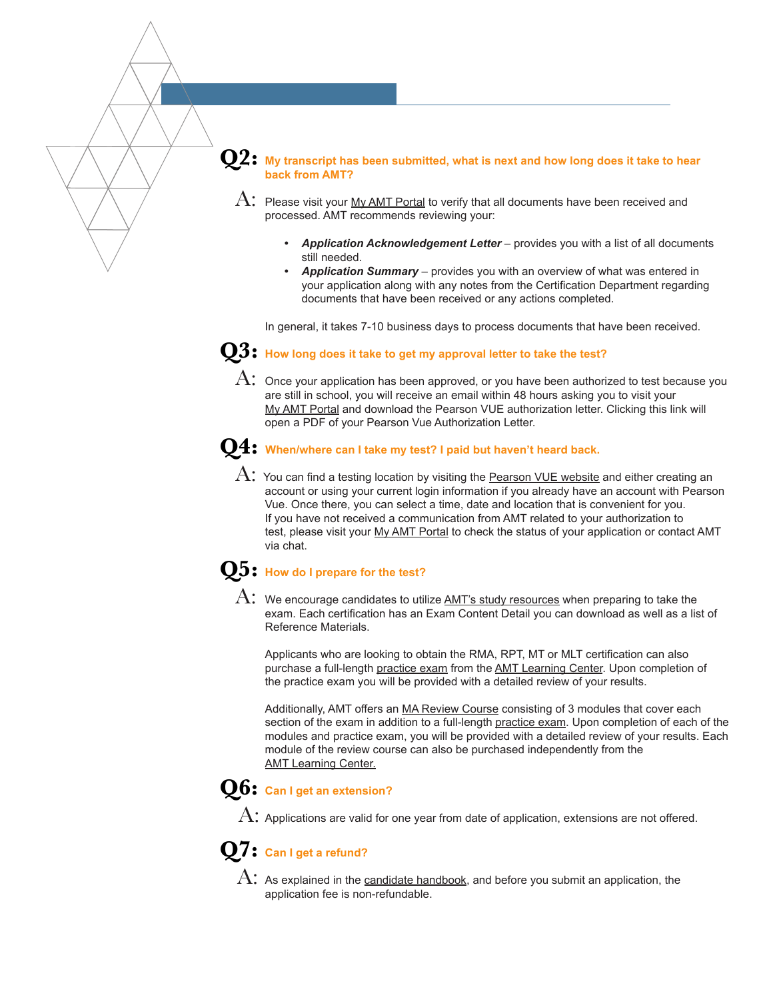#### **Q2: My transcript has been submitted, what is next and how long does it take to hear back from AMT?**

- $\rm A\colon$  Please visit your <u>My AMT Portal</u> to verify that all documents have been received and processed. AMT recommends reviewing your:
	- *• Application Acknowledgement Letter* provides you with a list of all documents still needed.
	- *• Application Summary* provides you with an overview of what was entered in your application along with any notes from the Certification Department regarding documents that have been received or any actions completed.

In general, it takes 7-10 business days to process documents that have been received.

- **Q3: How long does it take to get my approval letter to take the test?**
	- ${\rm A}\colon$  Once your application has been approved, or you have been authorized to test because you are still in sch[oo](https://www.americanmedtech.org/login)l, you will receive an email within 48 hours asking you to visit your [My AMT Portal](https://www.americanmedtech.org/login) and download the Pearson VUE authorization letter. Clicking this link will open a PDF of your Pearson Vue Authorization Letter.

#### **Q4: When/where can I take my test? I paid but haven't heard back.**

 $\rm A\colon$  You can find a testing location by visiting the <u>[Pearson VUE website](https://home.pearsonvue.com/amt)</u> and either creating an account or using your current login information if you already have an account with Pearson Vue. Once there, you can select a time, date and location that is convenient for you. If you have not received a communication from AMT related to your authorization to test, please visit your [My AMT Portal](https://www.americanmedtech.org/login) to check the status of your application or contact AMT via chat.

#### **Q5: How do I prepare for the test?**

 ${\rm A:~}$  We encourage candidates to utilize <u>AMT's study resources</u> when preparing to take the exam. Each certification has an Exam Content Detail you can download as well as a list of Reference Materials.

Applicants who are looking to obtain the RMA, RPT, MT or MLT certification can also purchase a full-length [practice exam](https://learning.americanmedtech.org/page/practiceexams) from the [AMT Learning Center](https://learning.americanmedtech.org/). Upon completion of the practice exam you will be provided with a detailed review of your results.

Additionally, AMT offers an [MA Review Course](https://learning.americanmedtech.org/page/reviewcourses) consisting of 3 modules that cover each section of the exam in addition to a full-length [practice exam](https://learning.americanmedtech.org/page/practiceexams). Upon completion of each of the modules and practice exam, you will be provided with a detailed review of your results. Each module of the review course can also be purchased independently from the [AMT Learning Center.](https://learning.americanmedtech.org)

# **Q6: Can I get an extension?**

A: Applications are valid for one year from date of application, extensions are not offered.

# **Q7: Can I get a refund?**

 ${\rm A:}\,$  As explained in the <u>[candidate handbook,](https://www.americanmedtech.org/Portals/0/Candidate%20Handbook-%20Details%20about%20applying%20for%20certification%20through%20AMT.pdf)</u> and before you submit an application, the application fee is non-refundable.